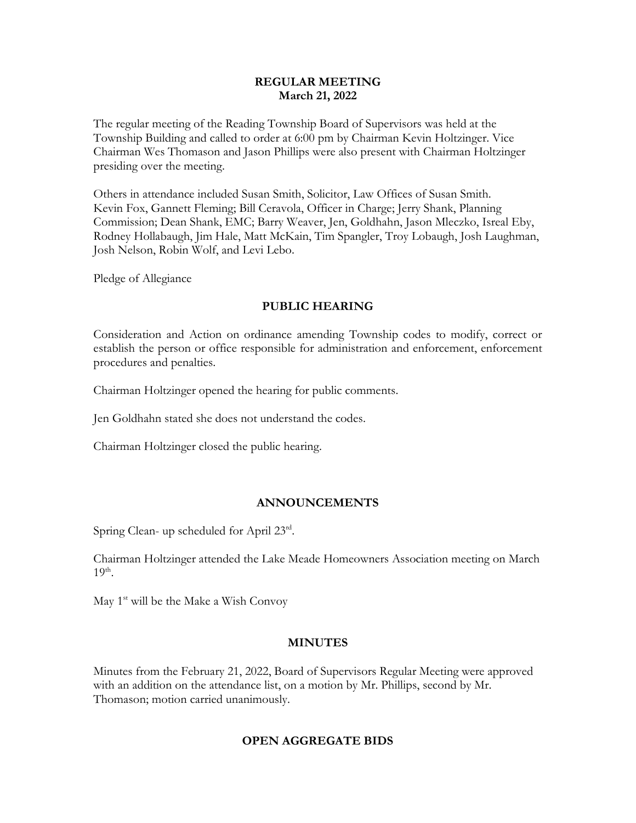#### **REGULAR MEETING March 21, 2022**

The regular meeting of the Reading Township Board of Supervisors was held at the Township Building and called to order at 6:00 pm by Chairman Kevin Holtzinger. Vice Chairman Wes Thomason and Jason Phillips were also present with Chairman Holtzinger presiding over the meeting.

Others in attendance included Susan Smith, Solicitor, Law Offices of Susan Smith. Kevin Fox, Gannett Fleming; Bill Ceravola, Officer in Charge; Jerry Shank, Planning Commission; Dean Shank, EMC; Barry Weaver, Jen, Goldhahn, Jason Mleczko, Isreal Eby, Rodney Hollabaugh, Jim Hale, Matt McKain, Tim Spangler, Troy Lobaugh, Josh Laughman, Josh Nelson, Robin Wolf, and Levi Lebo.

Pledge of Allegiance

### **PUBLIC HEARING**

Consideration and Action on ordinance amending Township codes to modify, correct or establish the person or office responsible for administration and enforcement, enforcement procedures and penalties.

Chairman Holtzinger opened the hearing for public comments.

Jen Goldhahn stated she does not understand the codes.

Chairman Holtzinger closed the public hearing.

### **ANNOUNCEMENTS**

Spring Clean- up scheduled for April 23rd.

Chairman Holtzinger attended the Lake Meade Homeowners Association meeting on March  $19<sup>th</sup>$ .

May  $1<sup>st</sup>$  will be the Make a Wish Convoy

### **MINUTES**

Minutes from the February 21, 2022, Board of Supervisors Regular Meeting were approved with an addition on the attendance list, on a motion by Mr. Phillips, second by Mr. Thomason; motion carried unanimously.

### **OPEN AGGREGATE BIDS**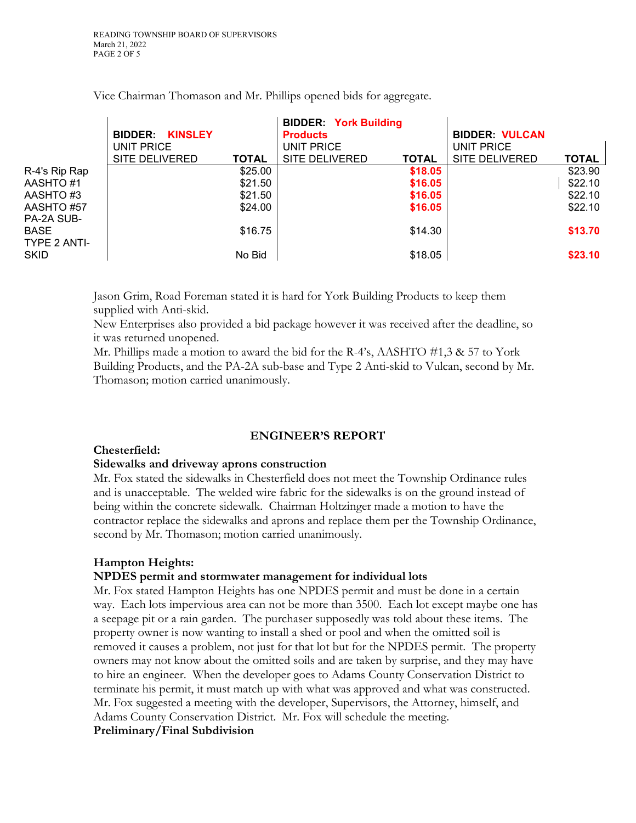|                                    | <b>KINSLEY</b><br><b>BIDDER:</b><br>UNIT PRICE<br><b>SITE DELIVERED</b> | <b>TOTAL</b> | <b>BIDDER: York Building</b><br><b>Products</b><br>UNIT PRICE<br><b>SITE DELIVERED</b> | <b>TOTAL</b> | <b>BIDDER: VULCAN</b><br>UNIT PRICE<br><b>SITE DELIVERED</b> | <b>TOTAL</b> |
|------------------------------------|-------------------------------------------------------------------------|--------------|----------------------------------------------------------------------------------------|--------------|--------------------------------------------------------------|--------------|
| R-4's Rip Rap                      |                                                                         | \$25.00      |                                                                                        | \$18.05      |                                                              | \$23.90      |
| AASHTO #1                          |                                                                         | \$21.50      |                                                                                        | \$16.05      |                                                              | \$22.10      |
| AASHTO #3                          |                                                                         | \$21.50      |                                                                                        | \$16.05      |                                                              | \$22.10      |
| AASHTO #57                         |                                                                         | \$24.00      |                                                                                        | \$16.05      |                                                              | \$22.10      |
| PA-2A SUB-<br>BASE<br>TYPE 2 ANTI- |                                                                         | \$16.75      |                                                                                        | \$14.30      |                                                              | \$13.70      |
| skid                               |                                                                         | No Bid       |                                                                                        | \$18.05      |                                                              | \$23.10      |

Vice Chairman Thomason and Mr. Phillips opened bids for aggregate.

Jason Grim, Road Foreman stated it is hard for York Building Products to keep them supplied with Anti-skid.

New Enterprises also provided a bid package however it was received after the deadline, so it was returned unopened.

Mr. Phillips made a motion to award the bid for the R-4's, AASHTO  $\#1,3 \& 57$  to York Building Products, and the PA-2A sub-base and Type 2 Anti-skid to Vulcan, second by Mr. Thomason; motion carried unanimously.

### **ENGINEER'S REPORT**

### **Chesterfield:**

#### **Sidewalks and driveway aprons construction**

Mr. Fox stated the sidewalks in Chesterfield does not meet the Township Ordinance rules and is unacceptable. The welded wire fabric for the sidewalks is on the ground instead of being within the concrete sidewalk. Chairman Holtzinger made a motion to have the contractor replace the sidewalks and aprons and replace them per the Township Ordinance, second by Mr. Thomason; motion carried unanimously.

## **Hampton Heights:**

### **NPDES permit and stormwater management for individual lots**

Mr. Fox stated Hampton Heights has one NPDES permit and must be done in a certain way. Each lots impervious area can not be more than 3500. Each lot except maybe one has a seepage pit or a rain garden. The purchaser supposedly was told about these items. The property owner is now wanting to install a shed or pool and when the omitted soil is removed it causes a problem, not just for that lot but for the NPDES permit. The property owners may not know about the omitted soils and are taken by surprise, and they may have to hire an engineer. When the developer goes to Adams County Conservation District to terminate his permit, it must match up with what was approved and what was constructed. Mr. Fox suggested a meeting with the developer, Supervisors, the Attorney, himself, and Adams County Conservation District. Mr. Fox will schedule the meeting. **Preliminary/Final Subdivision**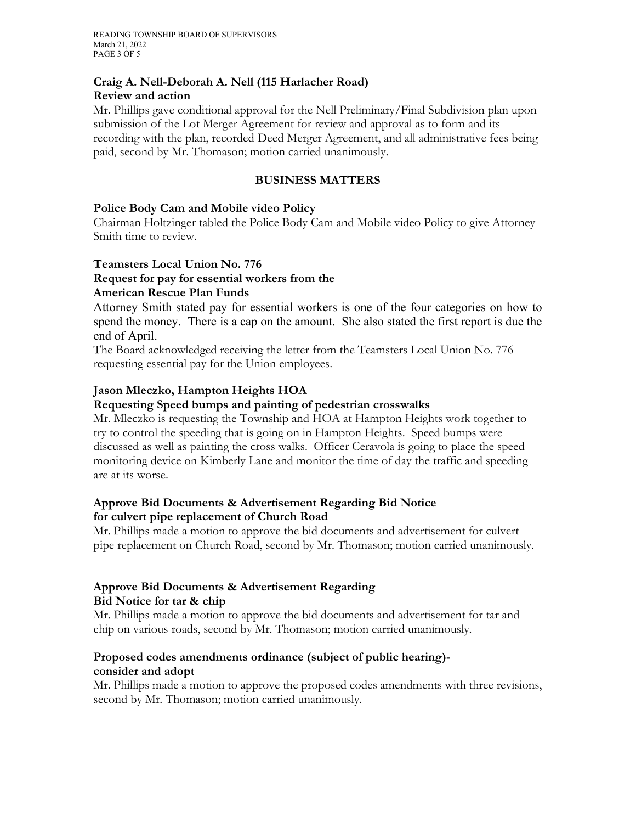### **Craig A. Nell-Deborah A. Nell (115 Harlacher Road) Review and action**

Mr. Phillips gave conditional approval for the Nell Preliminary/Final Subdivision plan upon submission of the Lot Merger Agreement for review and approval as to form and its recording with the plan, recorded Deed Merger Agreement, and all administrative fees being paid, second by Mr. Thomason; motion carried unanimously.

## **BUSINESS MATTERS**

## **Police Body Cam and Mobile video Policy**

Chairman Holtzinger tabled the Police Body Cam and Mobile video Policy to give Attorney Smith time to review.

### **Teamsters Local Union No. 776**

### **Request for pay for essential workers from the American Rescue Plan Funds**

Attorney Smith stated pay for essential workers is one of the four categories on how to spend the money. There is a cap on the amount. She also stated the first report is due the end of April.

The Board acknowledged receiving the letter from the Teamsters Local Union No. 776 requesting essential pay for the Union employees.

## **Jason Mleczko, Hampton Heights HOA**

### **Requesting Speed bumps and painting of pedestrian crosswalks**

Mr. Mleczko is requesting the Township and HOA at Hampton Heights work together to try to control the speeding that is going on in Hampton Heights. Speed bumps were discussed as well as painting the cross walks. Officer Ceravola is going to place the speed monitoring device on Kimberly Lane and monitor the time of day the traffic and speeding are at its worse.

### **Approve Bid Documents & Advertisement Regarding Bid Notice for culvert pipe replacement of Church Road**

Mr. Phillips made a motion to approve the bid documents and advertisement for culvert pipe replacement on Church Road, second by Mr. Thomason; motion carried unanimously.

### **Approve Bid Documents & Advertisement Regarding Bid Notice for tar & chip**

Mr. Phillips made a motion to approve the bid documents and advertisement for tar and chip on various roads, second by Mr. Thomason; motion carried unanimously.

## **Proposed codes amendments ordinance (subject of public hearing) consider and adopt**

Mr. Phillips made a motion to approve the proposed codes amendments with three revisions, second by Mr. Thomason; motion carried unanimously.